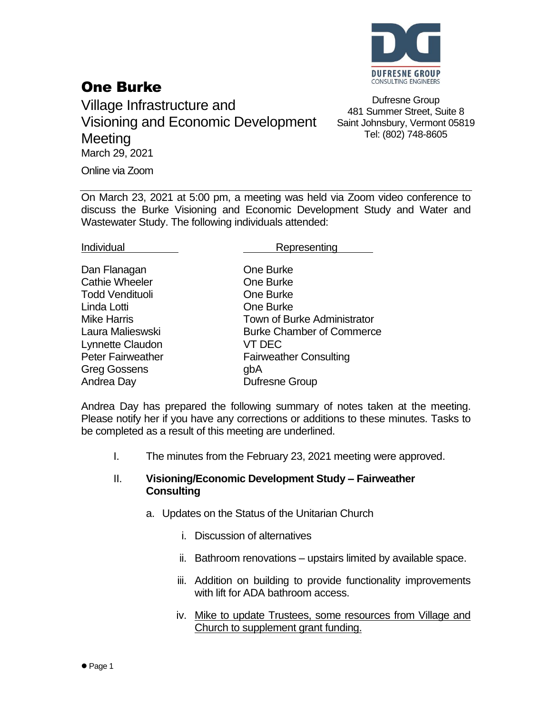

## One Burke

Village Infrastructure and Visioning and Economic Development **Meeting** March 29, 2021 Online via Zoom

Wastewater Study. The following individuals attended:

Dufresne Group 481 Summer Street, Suite 8 Saint Johnsbury, Vermont 05819 Tel: (802) 748-8605

On March 23, 2021 at 5:00 pm, a meeting was held via Zoom video conference to discuss the Burke Visioning and Economic Development Study and Water and

One Burke

Individual **Representing** 

| Dan Flanagan             | One        |
|--------------------------|------------|
| <b>Cathie Wheeler</b>    | One        |
| Todd Vendituoli          | One        |
| Linda Lotti              | One        |
| <b>Mike Harris</b>       | <b>Tow</b> |
| Laura Malieswski         | Burl       |
| Lynnette Claudon         | VT I       |
| <b>Peter Fairweather</b> | Fair       |
| <b>Greg Gossens</b>      | gbA        |
| Andrea Day               | Dufr       |

**One Burke** One Burke **One Burke** Town of Burke Administrator Burke Chamber of Commerce VT DEC **Fairweather Consulting** Dufresne Group

Andrea Day has prepared the following summary of notes taken at the meeting. Please notify her if you have any corrections or additions to these minutes. Tasks to be completed as a result of this meeting are underlined.

I. The minutes from the February 23, 2021 meeting were approved.

## II. **Visioning/Economic Development Study – Fairweather Consulting**

- a. Updates on the Status of the Unitarian Church
	- i. Discussion of alternatives
	- ii. Bathroom renovations upstairs limited by available space.
	- iii. Addition on building to provide functionality improvements with lift for ADA bathroom access.
	- iv. Mike to update Trustees, some resources from Village and Church to supplement grant funding.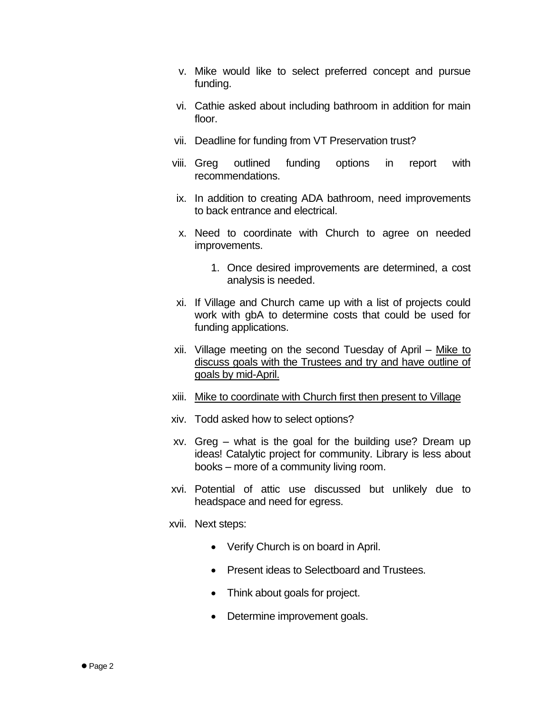- v. Mike would like to select preferred concept and pursue funding.
- vi. Cathie asked about including bathroom in addition for main floor.
- vii. Deadline for funding from VT Preservation trust?
- viii. Greg outlined funding options in report with recommendations.
- ix. In addition to creating ADA bathroom, need improvements to back entrance and electrical.
- x. Need to coordinate with Church to agree on needed improvements.
	- 1. Once desired improvements are determined, a cost analysis is needed.
- xi. If Village and Church came up with a list of projects could work with gbA to determine costs that could be used for funding applications.
- xii. Village meeting on the second Tuesday of April Mike to discuss goals with the Trustees and try and have outline of goals by mid-April.
- xiii. Mike to coordinate with Church first then present to Village
- xiv. Todd asked how to select options?
- xv. Greg what is the goal for the building use? Dream up ideas! Catalytic project for community. Library is less about books – more of a community living room.
- xvi. Potential of attic use discussed but unlikely due to headspace and need for egress.
- xvii. Next steps:
	- Verify Church is on board in April.
	- Present ideas to Selectboard and Trustees.
	- Think about goals for project.
	- Determine improvement goals.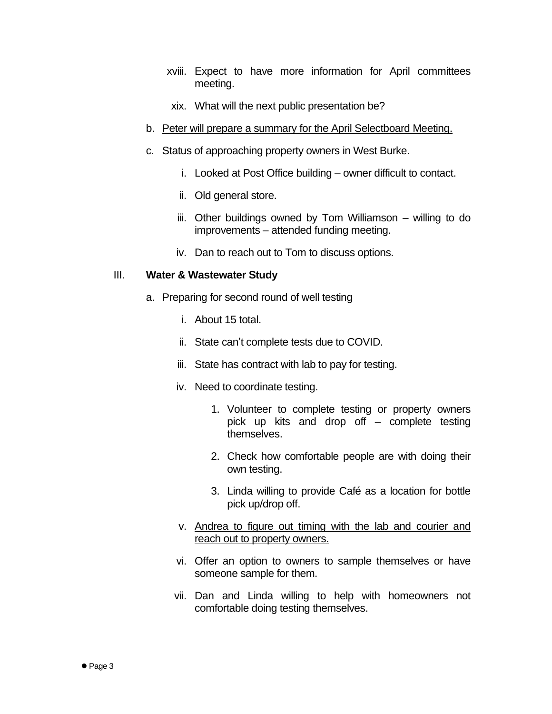- xviii. Expect to have more information for April committees meeting.
- xix. What will the next public presentation be?
- b. Peter will prepare a summary for the April Selectboard Meeting.
- c. Status of approaching property owners in West Burke.
	- i. Looked at Post Office building owner difficult to contact.
	- ii. Old general store.
	- iii. Other buildings owned by Tom Williamson willing to do improvements – attended funding meeting.
	- iv. Dan to reach out to Tom to discuss options.

## III. **Water & Wastewater Study**

- a. Preparing for second round of well testing
	- i. About 15 total.
	- ii. State can't complete tests due to COVID.
	- iii. State has contract with lab to pay for testing.
	- iv. Need to coordinate testing.
		- 1. Volunteer to complete testing or property owners pick up kits and drop off – complete testing themselves.
		- 2. Check how comfortable people are with doing their own testing.
		- 3. Linda willing to provide Café as a location for bottle pick up/drop off.
	- v. Andrea to figure out timing with the lab and courier and reach out to property owners.
	- vi. Offer an option to owners to sample themselves or have someone sample for them.
	- vii. Dan and Linda willing to help with homeowners not comfortable doing testing themselves.